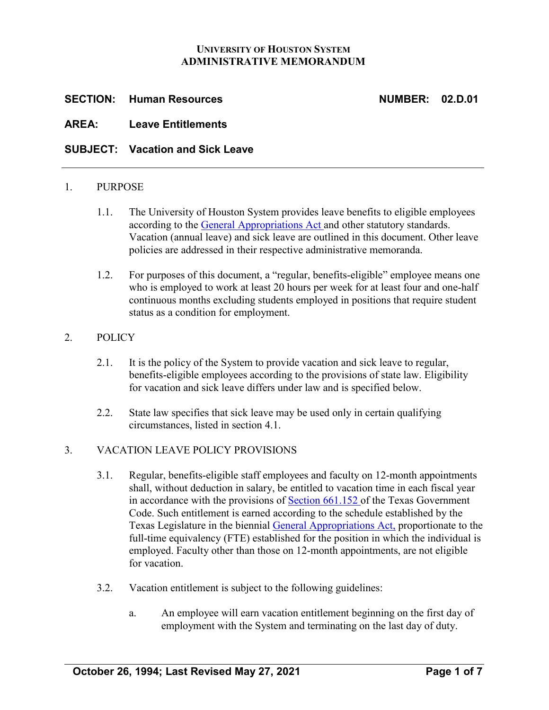#### **UNIVERSITY OF HOUSTON SYSTEM ADMINISTRATIVE MEMORANDUM**

# **SECTION: Human Resources NUMBER: 02.D.01**

# **AREA: Leave Entitlements**

# **SUBJECT: Vacation and Sick Leave**

#### 1. PURPOSE

- 1.1. The University of Houston System provides leave benefits to eligible employees according to the [General Appropriations Act](https://www.lbb.state.tx.us/) and other statutory standards. Vacation (annual leave) and sick leave are outlined in this document. Other leave policies are addressed in their respective administrative memoranda.
- 1.2. For purposes of this document, a "regular, benefits-eligible" employee means one who is employed to work at least 20 hours per week for at least four and one-half continuous months excluding students employed in positions that require student status as a condition for employment.

#### 2. POLICY

- 2.1. It is the policy of the System to provide vacation and sick leave to regular, benefits-eligible employees according to the provisions of state law. Eligibility for vacation and sick leave differs under law and is specified below.
- 2.2. State law specifies that sick leave may be used only in certain qualifying circumstances, listed in section 4.1.

#### 3. VACATION LEAVE POLICY PROVISIONS

- 3.1. Regular, benefits-eligible staff employees and faculty on 12-month appointments shall, without deduction in salary, be entitled to vacation time in each fiscal year in accordance with the provisions of [Section 661.152](https://statutes.capitol.texas.gov/Docs/GV/htm/GV.661.htm) of the Texas Government Code. Such entitlement is earned according to the schedule established by the Texas Legislature in the biennial [General Appropriations Act,](https://www.lbb.state.tx.us/) proportionate to the full-time equivalency (FTE) established for the position in which the individual is employed. Faculty other than those on 12-month appointments, are not eligible for vacation.
- 3.2. Vacation entitlement is subject to the following guidelines:
	- a. An employee will earn vacation entitlement beginning on the first day of employment with the System and terminating on the last day of duty.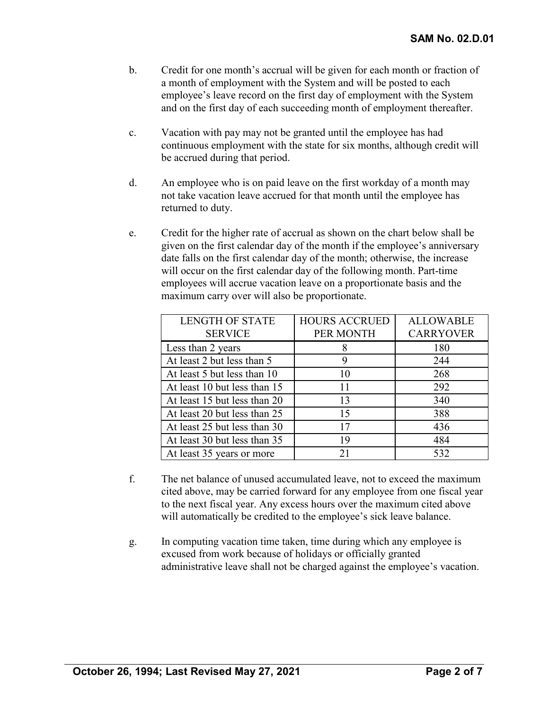- b. Credit for one month's accrual will be given for each month or fraction of a month of employment with the System and will be posted to each employee's leave record on the first day of employment with the System and on the first day of each succeeding month of employment thereafter.
- c. Vacation with pay may not be granted until the employee has had continuous employment with the state for six months, although credit will be accrued during that period.
- d. An employee who is on paid leave on the first workday of a month may not take vacation leave accrued for that month until the employee has returned to duty.
- e. Credit for the higher rate of accrual as shown on the chart below shall be given on the first calendar day of the month if the employee's anniversary date falls on the first calendar day of the month; otherwise, the increase will occur on the first calendar day of the following month. Part-time employees will accrue vacation leave on a proportionate basis and the maximum carry over will also be proportionate.

| <b>LENGTH OF STATE</b>       | <b>HOURS ACCRUED</b> | <b>ALLOWABLE</b> |
|------------------------------|----------------------|------------------|
| <b>SERVICE</b>               | PER MONTH            | <b>CARRYOVER</b> |
| Less than 2 years            |                      | 180              |
| At least 2 but less than 5   | 9                    | 244              |
| At least 5 but less than 10  | 10                   | 268              |
| At least 10 but less than 15 | 11                   | 292              |
| At least 15 but less than 20 | 13                   | 340              |
| At least 20 but less than 25 | 15                   | 388              |
| At least 25 but less than 30 | 17                   | 436              |
| At least 30 but less than 35 | 19                   | 484              |
| At least 35 years or more    | 21                   | 532              |

- f. The net balance of unused accumulated leave, not to exceed the maximum cited above, may be carried forward for any employee from one fiscal year to the next fiscal year. Any excess hours over the maximum cited above will automatically be credited to the employee's sick leave balance.
- g. In computing vacation time taken, time during which any employee is excused from work because of holidays or officially granted administrative leave shall not be charged against the employee's vacation.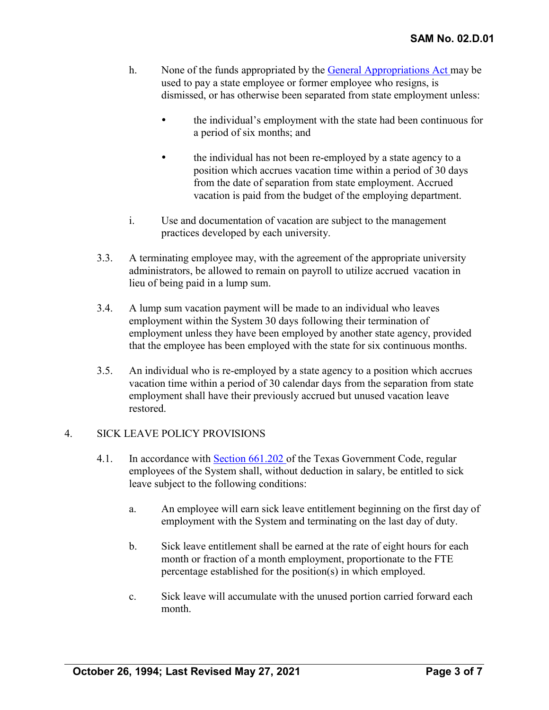- h. None of the funds appropriated by the [General Appropriations Act](https://www.lbb.state.tx.us/) may be used to pay a state employee or former employee who resigns, is dismissed, or has otherwise been separated from state employment unless:
	- the individual's employment with the state had been continuous for a period of six months; and
	- the individual has not been re-employed by a state agency to a position which accrues vacation time within a period of 30 days from the date of separation from state employment. Accrued vacation is paid from the budget of the employing department.
- i. Use and documentation of vacation are subject to the management practices developed by each university.
- 3.3. A terminating employee may, with the agreement of the appropriate university administrators, be allowed to remain on payroll to utilize accrued vacation in lieu of being paid in a lump sum.
- 3.4. A lump sum vacation payment will be made to an individual who leaves employment within the System 30 days following their termination of employment unless they have been employed by another state agency, provided that the employee has been employed with the state for six continuous months.
- 3.5. An individual who is re-employed by a state agency to a position which accrues vacation time within a period of 30 calendar days from the separation from state employment shall have their previously accrued but unused vacation leave restored.

# 4. SICK LEAVE POLICY PROVISIONS

- 4.1. In accordance with [Section 661.202](https://statutes.capitol.texas.gov/Docs/GV/htm/GV.661.htm) of the Texas Government Code, regular employees of the System shall, without deduction in salary, be entitled to sick leave subject to the following conditions:
	- a. An employee will earn sick leave entitlement beginning on the first day of employment with the System and terminating on the last day of duty.
	- b. Sick leave entitlement shall be earned at the rate of eight hours for each month or fraction of a month employment, proportionate to the FTE percentage established for the position(s) in which employed.
	- c. Sick leave will accumulate with the unused portion carried forward each month.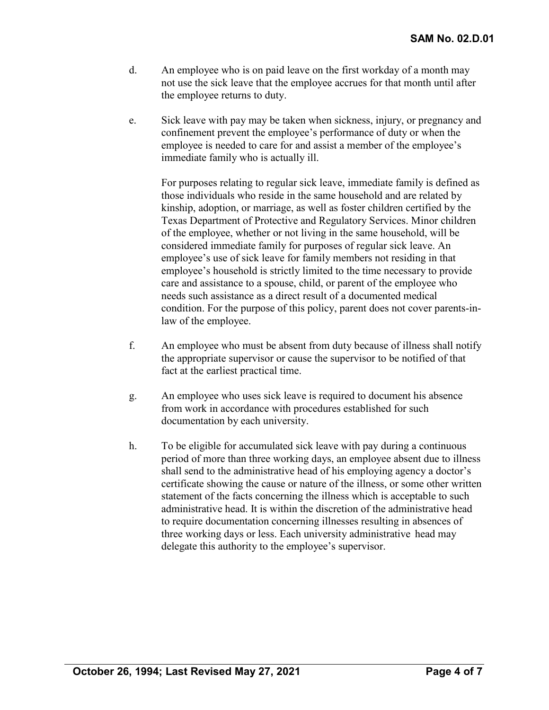- d. An employee who is on paid leave on the first workday of a month may not use the sick leave that the employee accrues for that month until after the employee returns to duty.
- e. Sick leave with pay may be taken when sickness, injury, or pregnancy and confinement prevent the employee's performance of duty or when the employee is needed to care for and assist a member of the employee's immediate family who is actually ill.

For purposes relating to regular sick leave, immediate family is defined as those individuals who reside in the same household and are related by kinship, adoption, or marriage, as well as foster children certified by the Texas Department of Protective and Regulatory Services. Minor children of the employee, whether or not living in the same household, will be considered immediate family for purposes of regular sick leave. An employee's use of sick leave for family members not residing in that employee's household is strictly limited to the time necessary to provide care and assistance to a spouse, child, or parent of the employee who needs such assistance as a direct result of a documented medical condition. For the purpose of this policy, parent does not cover parents-inlaw of the employee.

- f. An employee who must be absent from duty because of illness shall notify the appropriate supervisor or cause the supervisor to be notified of that fact at the earliest practical time.
- g. An employee who uses sick leave is required to document his absence from work in accordance with procedures established for such documentation by each university.
- h. To be eligible for accumulated sick leave with pay during a continuous period of more than three working days, an employee absent due to illness shall send to the administrative head of his employing agency a doctor's certificate showing the cause or nature of the illness, or some other written statement of the facts concerning the illness which is acceptable to such administrative head. It is within the discretion of the administrative head to require documentation concerning illnesses resulting in absences of three working days or less. Each university administrative head may delegate this authority to the employee's supervisor.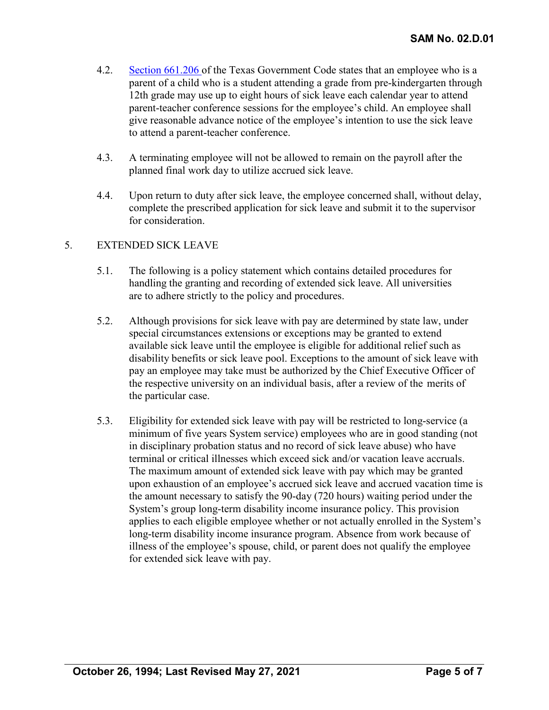- 4.2. [Section 661.206](https://statutes.capitol.texas.gov/Docs/GV/htm/GV.661.htm) of the Texas Government Code states that an employee who is a parent of a child who is a student attending a grade from pre-kindergarten through 12th grade may use up to eight hours of sick leave each calendar year to attend parent-teacher conference sessions for the employee's child. An employee shall give reasonable advance notice of the employee's intention to use the sick leave to attend a parent-teacher conference.
- 4.3. A terminating employee will not be allowed to remain on the payroll after the planned final work day to utilize accrued sick leave.
- 4.4. Upon return to duty after sick leave, the employee concerned shall, without delay, complete the prescribed application for sick leave and submit it to the supervisor for consideration.

# 5. EXTENDED SICK LEAVE

- 5.1. The following is a policy statement which contains detailed procedures for handling the granting and recording of extended sick leave. All universities are to adhere strictly to the policy and procedures.
- 5.2. Although provisions for sick leave with pay are determined by state law, under special circumstances extensions or exceptions may be granted to extend available sick leave until the employee is eligible for additional relief such as disability benefits or sick leave pool. Exceptions to the amount of sick leave with pay an employee may take must be authorized by the Chief Executive Officer of the respective university on an individual basis, after a review of the merits of the particular case.
- 5.3. Eligibility for extended sick leave with pay will be restricted to long-service (a minimum of five years System service) employees who are in good standing (not in disciplinary probation status and no record of sick leave abuse) who have terminal or critical illnesses which exceed sick and/or vacation leave accruals. The maximum amount of extended sick leave with pay which may be granted upon exhaustion of an employee's accrued sick leave and accrued vacation time is the amount necessary to satisfy the 90-day (720 hours) waiting period under the System's group long-term disability income insurance policy. This provision applies to each eligible employee whether or not actually enrolled in the System's long-term disability income insurance program. Absence from work because of illness of the employee's spouse, child, or parent does not qualify the employee for extended sick leave with pay.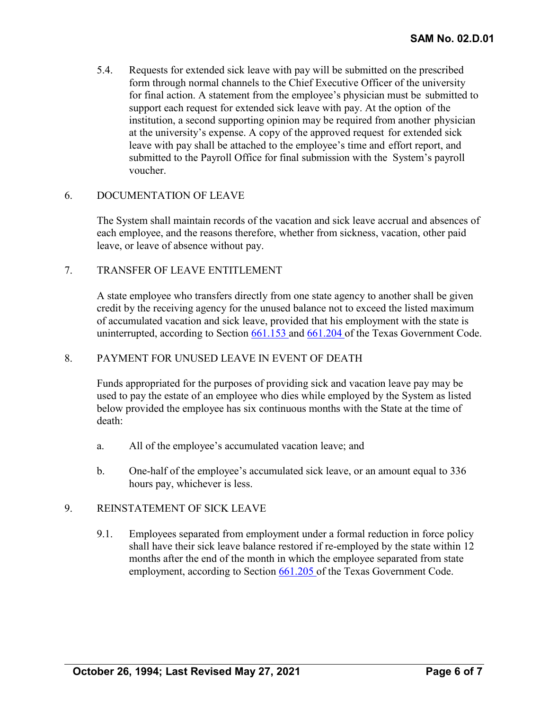5.4. Requests for extended sick leave with pay will be submitted on the prescribed form through normal channels to the Chief Executive Officer of the university for final action. A statement from the employee's physician must be submitted to support each request for extended sick leave with pay. At the option of the institution, a second supporting opinion may be required from another physician at the university's expense. A copy of the approved request for extended sick leave with pay shall be attached to the employee's time and effort report, and submitted to the Payroll Office for final submission with the System's payroll voucher.

# 6. DOCUMENTATION OF LEAVE

The System shall maintain records of the vacation and sick leave accrual and absences of each employee, and the reasons therefore, whether from sickness, vacation, other paid leave, or leave of absence without pay.

# 7. TRANSFER OF LEAVE ENTITLEMENT

A state employee who transfers directly from one state agency to another shall be given credit by the receiving agency for the unused balance not to exceed the listed maximum of accumulated vacation and sick leave, provided that his employment with the state is uninterrupted, according to Section [661.153](https://statutes.capitol.texas.gov/Docs/GV/htm/GV.661.htm) and [661.204](https://statutes.capitol.texas.gov/Docs/GV/htm/GV.661.htm) of the Texas Government Code.

# 8. PAYMENT FOR UNUSED LEAVE IN EVENT OF DEATH

Funds appropriated for the purposes of providing sick and vacation leave pay may be used to pay the estate of an employee who dies while employed by the System as listed below provided the employee has six continuous months with the State at the time of death:

- a. All of the employee's accumulated vacation leave; and
- b. One-half of the employee's accumulated sick leave, or an amount equal to 336 hours pay, whichever is less.

# 9. REINSTATEMENT OF SICK LEAVE

9.1. Employees separated from employment under a formal reduction in force policy shall have their sick leave balance restored if re-employed by the state within 12 months after the end of the month in which the employee separated from state employment, according to Section [661.205](https://statutes.capitol.texas.gov/Docs/GV/htm/GV.661.htm) of the Texas Government Code.